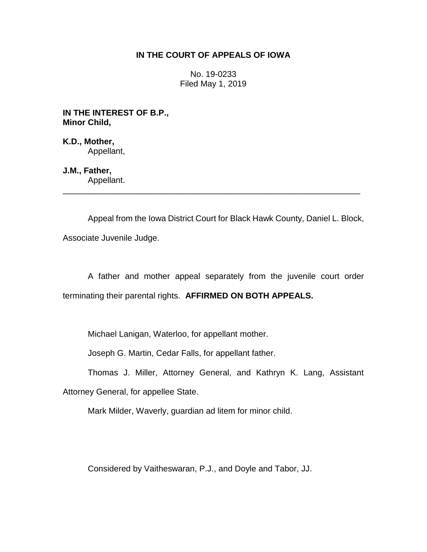# **IN THE COURT OF APPEALS OF IOWA**

No. 19-0233 Filed May 1, 2019

**IN THE INTEREST OF B.P., Minor Child,**

**K.D., Mother,** Appellant,

**J.M., Father,** Appellant.

Appeal from the Iowa District Court for Black Hawk County, Daniel L. Block, Associate Juvenile Judge.

\_\_\_\_\_\_\_\_\_\_\_\_\_\_\_\_\_\_\_\_\_\_\_\_\_\_\_\_\_\_\_\_\_\_\_\_\_\_\_\_\_\_\_\_\_\_\_\_\_\_\_\_\_\_\_\_\_\_\_\_\_\_\_\_

A father and mother appeal separately from the juvenile court order terminating their parental rights. **AFFIRMED ON BOTH APPEALS.**

Michael Lanigan, Waterloo, for appellant mother.

Joseph G. Martin, Cedar Falls, for appellant father.

Thomas J. Miller, Attorney General, and Kathryn K. Lang, Assistant

Attorney General, for appellee State.

Mark Milder, Waverly, guardian ad litem for minor child.

Considered by Vaitheswaran, P.J., and Doyle and Tabor, JJ.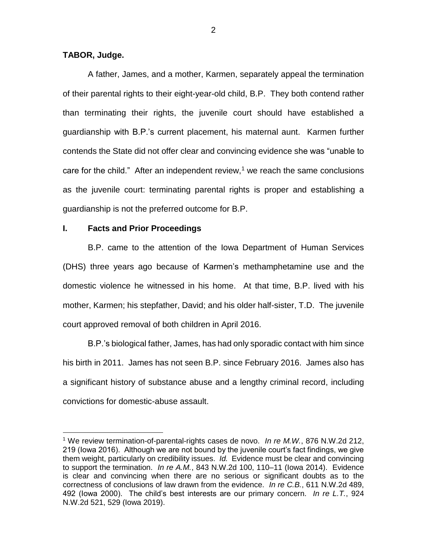### **TABOR, Judge.**

 $\overline{a}$ 

A father, James, and a mother, Karmen, separately appeal the termination of their parental rights to their eight-year-old child, B.P. They both contend rather than terminating their rights, the juvenile court should have established a guardianship with B.P.'s current placement, his maternal aunt. Karmen further contends the State did not offer clear and convincing evidence she was "unable to care for the child." After an independent review,<sup>1</sup> we reach the same conclusions as the juvenile court: terminating parental rights is proper and establishing a guardianship is not the preferred outcome for B.P.

## **I. Facts and Prior Proceedings**

B.P. came to the attention of the Iowa Department of Human Services (DHS) three years ago because of Karmen's methamphetamine use and the domestic violence he witnessed in his home. At that time, B.P. lived with his mother, Karmen; his stepfather, David; and his older half-sister, T.D. The juvenile court approved removal of both children in April 2016.

B.P.'s biological father, James, has had only sporadic contact with him since his birth in 2011. James has not seen B.P. since February 2016. James also has a significant history of substance abuse and a lengthy criminal record, including convictions for domestic-abuse assault.

<sup>&</sup>lt;sup>1</sup> We review termination-of-parental-rights cases de novo. *In re M.W.*, 876 N.W.2d 212, 219 (Iowa 2016). Although we are not bound by the juvenile court's fact findings, we give them weight, particularly on credibility issues. *Id.* Evidence must be clear and convincing to support the termination. *In re A.M.*, 843 N.W.2d 100, 110–11 (Iowa 2014). Evidence is clear and convincing when there are no serious or significant doubts as to the correctness of conclusions of law drawn from the evidence. *In re C.B.*, 611 N.W.2d 489, 492 (Iowa 2000). The child's best interests are our primary concern. *In re L.T.*, 924 N.W.2d 521, 529 (Iowa 2019).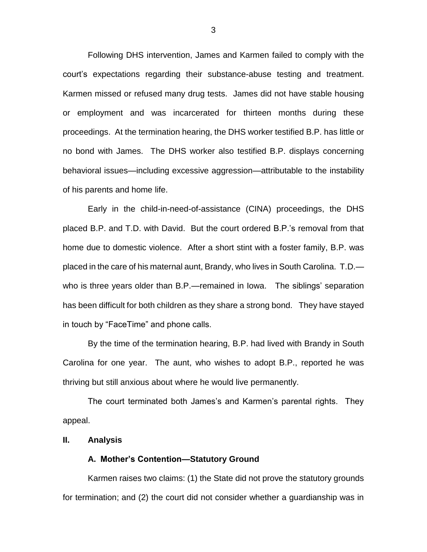Following DHS intervention, James and Karmen failed to comply with the court's expectations regarding their substance-abuse testing and treatment. Karmen missed or refused many drug tests. James did not have stable housing or employment and was incarcerated for thirteen months during these proceedings. At the termination hearing, the DHS worker testified B.P. has little or no bond with James. The DHS worker also testified B.P. displays concerning behavioral issues—including excessive aggression—attributable to the instability of his parents and home life.

Early in the child-in-need-of-assistance (CINA) proceedings, the DHS placed B.P. and T.D. with David. But the court ordered B.P.'s removal from that home due to domestic violence. After a short stint with a foster family, B.P. was placed in the care of his maternal aunt, Brandy, who lives in South Carolina. T.D. who is three years older than B.P.—remained in Iowa. The siblings' separation has been difficult for both children as they share a strong bond. They have stayed in touch by "FaceTime" and phone calls.

By the time of the termination hearing, B.P. had lived with Brandy in South Carolina for one year. The aunt, who wishes to adopt B.P., reported he was thriving but still anxious about where he would live permanently.

The court terminated both James's and Karmen's parental rights. They appeal.

#### **II. Analysis**

#### **A. Mother's Contention—Statutory Ground**

Karmen raises two claims: (1) the State did not prove the statutory grounds for termination; and (2) the court did not consider whether a guardianship was in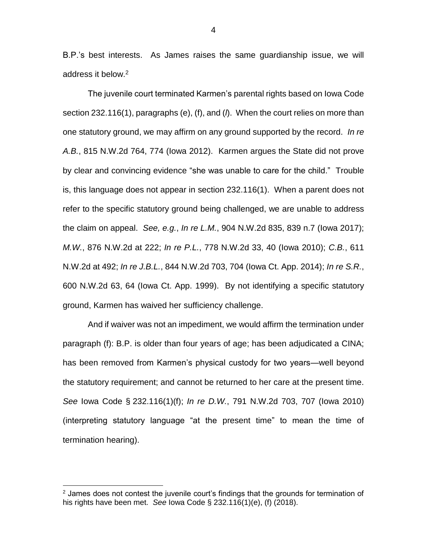B.P.'s best interests. As James raises the same guardianship issue, we will address it below.<sup>2</sup>

The juvenile court terminated Karmen's parental rights based on Iowa Code section 232.116(1), paragraphs (e), (f), and (*l*). When the court relies on more than one statutory ground, we may affirm on any ground supported by the record. *In re A.B.*, 815 N.W.2d 764, 774 (Iowa 2012). Karmen argues the State did not prove by clear and convincing evidence "she was unable to care for the child." Trouble is, this language does not appear in section 232.116(1). When a parent does not refer to the specific statutory ground being challenged, we are unable to address the claim on appeal. *See, e.g.*, *In re L.M.*, 904 N.W.2d 835, 839 n.7 (Iowa 2017); *M.W.*, 876 N.W.2d at 222; *In re P.L.*, 778 N.W.2d 33, 40 (Iowa 2010); *C.B.*, 611 N.W.2d at 492; *In re J.B.L.*, 844 N.W.2d 703, 704 (Iowa Ct. App. 2014); *In re S.R.*, 600 N.W.2d 63, 64 (Iowa Ct. App. 1999). By not identifying a specific statutory ground, Karmen has waived her sufficiency challenge.

And if waiver was not an impediment, we would affirm the termination under paragraph (f): B.P. is older than four years of age; has been adjudicated a CINA; has been removed from Karmen's physical custody for two years—well beyond the statutory requirement; and cannot be returned to her care at the present time. *See* Iowa Code § 232.116(1)(f); *In re D.W.*, 791 N.W.2d 703, 707 (Iowa 2010) (interpreting statutory language "at the present time" to mean the time of termination hearing).

 $\overline{a}$ 

 $2$  James does not contest the juvenile court's findings that the grounds for termination of his rights have been met. *See* Iowa Code § 232.116(1)(e), (f) (2018).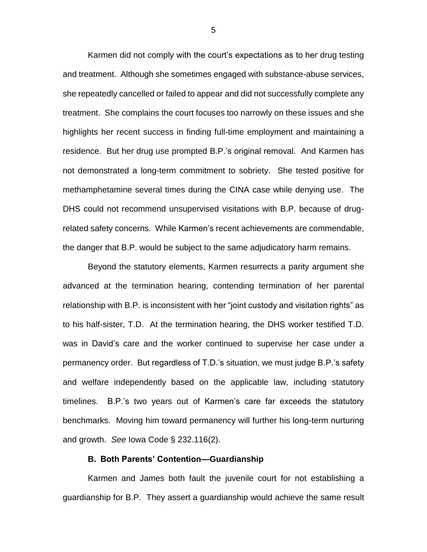Karmen did not comply with the court's expectations as to her drug testing and treatment. Although she sometimes engaged with substance-abuse services, she repeatedly cancelled or failed to appear and did not successfully complete any treatment. She complains the court focuses too narrowly on these issues and she highlights her recent success in finding full-time employment and maintaining a residence. But her drug use prompted B.P.'s original removal. And Karmen has not demonstrated a long-term commitment to sobriety. She tested positive for methamphetamine several times during the CINA case while denying use. The DHS could not recommend unsupervised visitations with B.P. because of drugrelated safety concerns. While Karmen's recent achievements are commendable, the danger that B.P. would be subject to the same adjudicatory harm remains.

Beyond the statutory elements, Karmen resurrects a parity argument she advanced at the termination hearing, contending termination of her parental relationship with B.P. is inconsistent with her "joint custody and visitation rights" as to his half-sister, T.D. At the termination hearing, the DHS worker testified T.D. was in David's care and the worker continued to supervise her case under a permanency order. But regardless of T.D.'s situation, we must judge B.P.'s safety and welfare independently based on the applicable law, including statutory timelines. B.P.'s two years out of Karmen's care far exceeds the statutory benchmarks. Moving him toward permanency will further his long-term nurturing and growth. *See* Iowa Code § 232.116(2).

#### **B. Both Parents' Contention—Guardianship**

Karmen and James both fault the juvenile court for not establishing a guardianship for B.P. They assert a guardianship would achieve the same result

5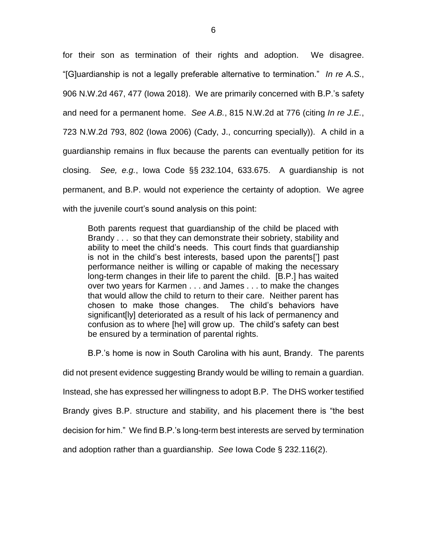for their son as termination of their rights and adoption. We disagree. "[G]uardianship is not a legally preferable alternative to termination." *In re A.S.*, 906 N.W.2d 467, 477 (Iowa 2018). We are primarily concerned with B.P.'s safety and need for a permanent home. *See A.B.*, 815 N.W.2d at 776 (citing *In re J.E.*, 723 N.W.2d 793, 802 (Iowa 2006) (Cady, J., concurring specially)). A child in a guardianship remains in flux because the parents can eventually petition for its closing. *See, e.g.*, Iowa Code §§ 232.104, 633.675. A guardianship is not permanent, and B.P. would not experience the certainty of adoption. We agree with the juvenile court's sound analysis on this point:

Both parents request that guardianship of the child be placed with Brandy . . . so that they can demonstrate their sobriety, stability and ability to meet the child's needs. This court finds that guardianship is not in the child's best interests, based upon the parents['] past performance neither is willing or capable of making the necessary long-term changes in their life to parent the child. [B.P.] has waited over two years for Karmen . . . and James . . . to make the changes that would allow the child to return to their care. Neither parent has chosen to make those changes. The child's behaviors have significant[ly] deteriorated as a result of his lack of permanency and confusion as to where [he] will grow up. The child's safety can best be ensured by a termination of parental rights.

B.P.'s home is now in South Carolina with his aunt, Brandy. The parents

did not present evidence suggesting Brandy would be willing to remain a guardian.

Instead, she has expressed her willingness to adopt B.P. The DHS worker testified

Brandy gives B.P. structure and stability, and his placement there is "the best

decision for him." We find B.P.'s long-term best interests are served by termination

and adoption rather than a guardianship. *See* Iowa Code § 232.116(2).